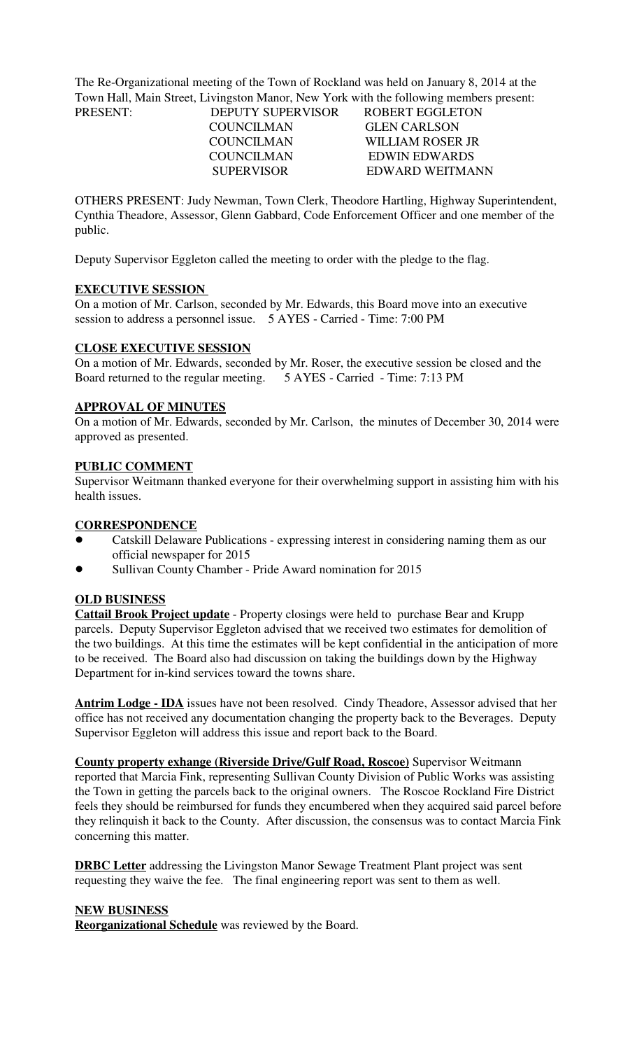The Re-Organizational meeting of the Town of Rockland was held on January 8, 2014 at the Town Hall, Main Street, Livingston Manor, New York with the following members present: PRESENT: DEPUTY SUPERVISOR ROBERT EGGLETON

COUNCILMAN GLEN CARLSON

 COUNCILMAN WILLIAM ROSER JR COUNCILMAN EDWIN EDWARDS SUPERVISOR EDWARD WEITMANN

OTHERS PRESENT: Judy Newman, Town Clerk, Theodore Hartling, Highway Superintendent, Cynthia Theadore, Assessor, Glenn Gabbard, Code Enforcement Officer and one member of the public.

Deputy Supervisor Eggleton called the meeting to order with the pledge to the flag.

### **EXECUTIVE SESSION**

On a motion of Mr. Carlson, seconded by Mr. Edwards, this Board move into an executive session to address a personnel issue. 5 AYES - Carried - Time: 7:00 PM

### **CLOSE EXECUTIVE SESSION**

On a motion of Mr. Edwards, seconded by Mr. Roser, the executive session be closed and the Board returned to the regular meeting. 5 AYES - Carried - Time: 7:13 PM

### **APPROVAL OF MINUTES**

On a motion of Mr. Edwards, seconded by Mr. Carlson, the minutes of December 30, 2014 were approved as presented.

### **PUBLIC COMMENT**

Supervisor Weitmann thanked everyone for their overwhelming support in assisting him with his health issues.

### **CORRESPONDENCE**

- Catskill Delaware Publications expressing interest in considering naming them as our official newspaper for 2015
- Sullivan County Chamber Pride Award nomination for 2015

### **OLD BUSINESS**

**Cattail Brook Project update** - Property closings were held to purchase Bear and Krupp parcels. Deputy Supervisor Eggleton advised that we received two estimates for demolition of the two buildings. At this time the estimates will be kept confidential in the anticipation of more to be received. The Board also had discussion on taking the buildings down by the Highway Department for in-kind services toward the towns share.

**Antrim Lodge - IDA** issues have not been resolved. Cindy Theadore, Assessor advised that her office has not received any documentation changing the property back to the Beverages. Deputy Supervisor Eggleton will address this issue and report back to the Board.

**County property exhange (Riverside Drive/Gulf Road, Roscoe)** Supervisor Weitmann reported that Marcia Fink, representing Sullivan County Division of Public Works was assisting the Town in getting the parcels back to the original owners. The Roscoe Rockland Fire District feels they should be reimbursed for funds they encumbered when they acquired said parcel before they relinquish it back to the County. After discussion, the consensus was to contact Marcia Fink concerning this matter.

**DRBC Letter** addressing the Livingston Manor Sewage Treatment Plant project was sent requesting they waive the fee. The final engineering report was sent to them as well.

### **NEW BUSINESS**

**Reorganizational Schedule** was reviewed by the Board.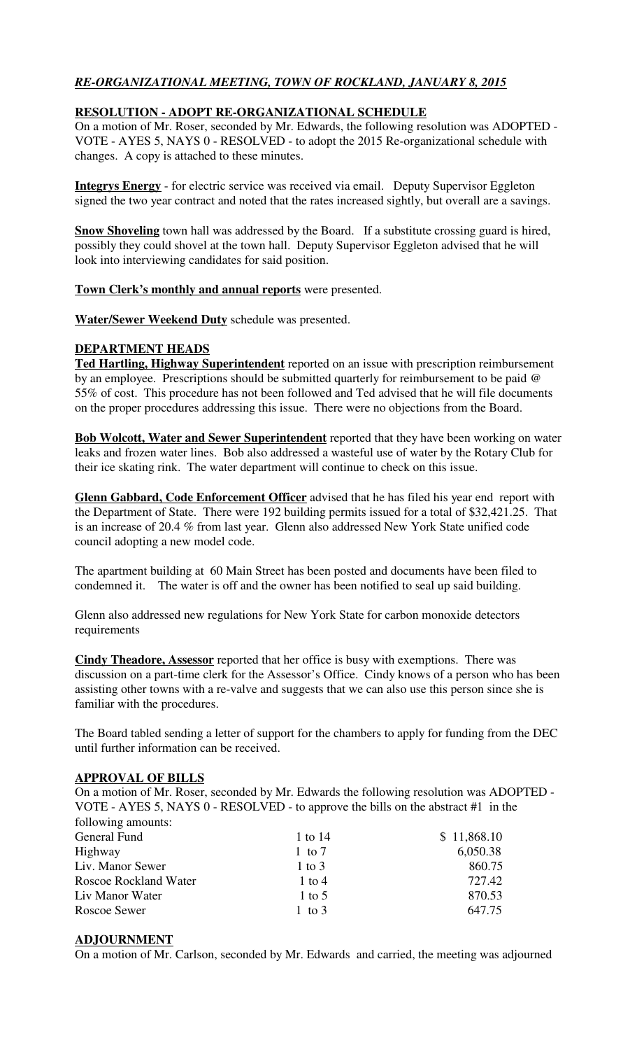# *RE-ORGANIZATIONAL MEETING, TOWN OF ROCKLAND, JANUARY 8, 2015*

## **RESOLUTION - ADOPT RE-ORGANIZATIONAL SCHEDULE**

On a motion of Mr. Roser, seconded by Mr. Edwards, the following resolution was ADOPTED - VOTE - AYES 5, NAYS 0 - RESOLVED - to adopt the 2015 Re-organizational schedule with changes. A copy is attached to these minutes.

**Integrys Energy** - for electric service was received via email. Deputy Supervisor Eggleton signed the two year contract and noted that the rates increased sightly, but overall are a savings.

**Snow Shoveling** town hall was addressed by the Board. If a substitute crossing guard is hired, possibly they could shovel at the town hall. Deputy Supervisor Eggleton advised that he will look into interviewing candidates for said position.

### **Town Clerk's monthly and annual reports** were presented.

**Water/Sewer Weekend Duty** schedule was presented.

### **DEPARTMENT HEADS**

**Ted Hartling, Highway Superintendent** reported on an issue with prescription reimbursement by an employee. Prescriptions should be submitted quarterly for reimbursement to be paid @ 55% of cost. This procedure has not been followed and Ted advised that he will file documents on the proper procedures addressing this issue. There were no objections from the Board.

**Bob Wolcott, Water and Sewer Superintendent** reported that they have been working on water leaks and frozen water lines. Bob also addressed a wasteful use of water by the Rotary Club for their ice skating rink. The water department will continue to check on this issue.

**Glenn Gabbard, Code Enforcement Officer** advised that he has filed his year end report with the Department of State. There were 192 building permits issued for a total of \$32,421.25. That is an increase of 20.4 % from last year. Glenn also addressed New York State unified code council adopting a new model code.

The apartment building at 60 Main Street has been posted and documents have been filed to condemned it. The water is off and the owner has been notified to seal up said building.

Glenn also addressed new regulations for New York State for carbon monoxide detectors requirements

**Cindy Theadore, Assessor** reported that her office is busy with exemptions. There was discussion on a part-time clerk for the Assessor's Office. Cindy knows of a person who has been assisting other towns with a re-valve and suggests that we can also use this person since she is familiar with the procedures.

The Board tabled sending a letter of support for the chambers to apply for funding from the DEC until further information can be received.

## **APPROVAL OF BILLS**

On a motion of Mr. Roser, seconded by Mr. Edwards the following resolution was ADOPTED - VOTE - AYES 5, NAYS 0 - RESOLVED - to approve the bills on the abstract #1 in the following amounts:

| General Fund          | 1 to 14  | \$11,868.10 |
|-----------------------|----------|-------------|
| Highway               | 1 to $7$ | 6,050.38    |
| Liv. Manor Sewer      | 1 to $3$ | 860.75      |
| Roscoe Rockland Water | 1 to 4   | 727.42      |
| Liv Manor Water       | 1 to 5   | 870.53      |
| Roscoe Sewer          | 1 to 3   | 647.75      |

### **ADJOURNMENT**

On a motion of Mr. Carlson, seconded by Mr. Edwards and carried, the meeting was adjourned